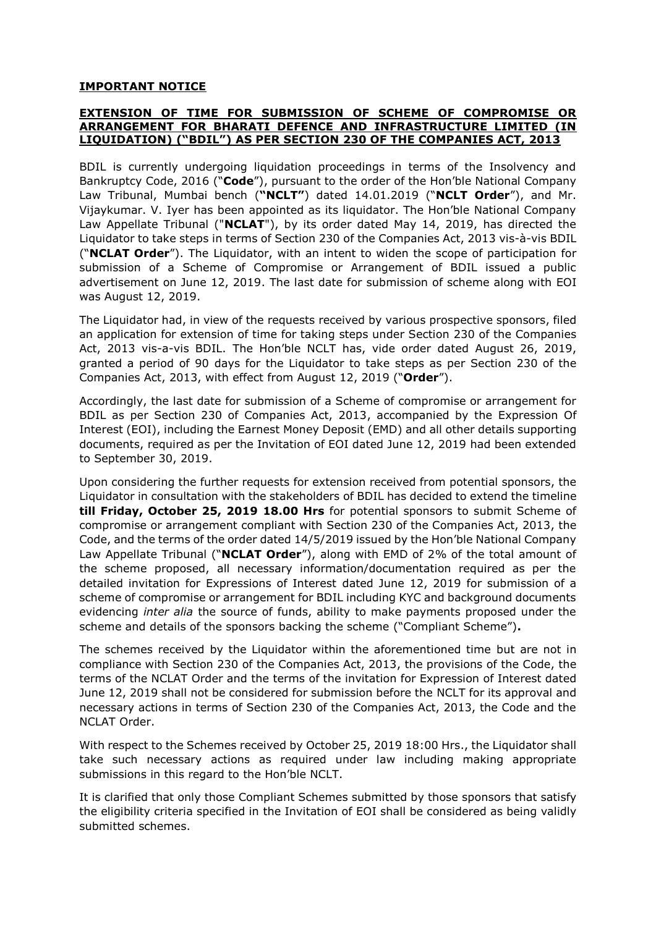## **IMPORTANT NOTICE**

## **EXTENSION OF TIME FOR SUBMISSION OF SCHEME OF COMPROMISE OR ARRANGEMENT FOR BHARATI DEFENCE AND INFRASTRUCTURE LIMITED (IN LIQUIDATION) ("BDIL") AS PER SECTION 230 OF THE COMPANIES ACT, 2013**

BDIL is currently undergoing liquidation proceedings in terms of the Insolvency and Bankruptcy Code, 2016 ("**Code**"), pursuant to the order of the Hon'ble National Company Law Tribunal, Mumbai bench (**"NCLT"**) dated 14.01.2019 ("**NCLT Order**"), and Mr. Vijaykumar. V. Iyer has been appointed as its liquidator. The Hon'ble National Company Law Appellate Tribunal ("**NCLAT**"), by its order dated May 14, 2019, has directed the Liquidator to take steps in terms of Section 230 of the Companies Act, 2013 vis-à-vis BDIL ("**NCLAT Order**"). The Liquidator, with an intent to widen the scope of participation for submission of a Scheme of Compromise or Arrangement of BDIL issued a public advertisement on June 12, 2019. The last date for submission of scheme along with EOI was August 12, 2019.

The Liquidator had, in view of the requests received by various prospective sponsors, filed an application for extension of time for taking steps under Section 230 of the Companies Act, 2013 vis-a-vis BDIL. The Hon'ble NCLT has, vide order dated August 26, 2019, granted a period of 90 days for the Liquidator to take steps as per Section 230 of the Companies Act, 2013, with effect from August 12, 2019 ("**Order**").

Accordingly, the last date for submission of a Scheme of compromise or arrangement for BDIL as per Section 230 of Companies Act, 2013, accompanied by the Expression Of Interest (EOI), including the Earnest Money Deposit (EMD) and all other details supporting documents, required as per the Invitation of EOI dated June 12, 2019 had been extended to September 30, 2019.

Upon considering the further requests for extension received from potential sponsors, the Liquidator in consultation with the stakeholders of BDIL has decided to extend the timeline **till Friday, October 25, 2019 18.00 Hrs** for potential sponsors to submit Scheme of compromise or arrangement compliant with Section 230 of the Companies Act, 2013, the Code, and the terms of the order dated 14/5/2019 issued by the Hon'ble National Company Law Appellate Tribunal ("**NCLAT Order**"), along with EMD of 2% of the total amount of the scheme proposed, all necessary information/documentation required as per the detailed invitation for Expressions of Interest dated June 12, 2019 for submission of a scheme of compromise or arrangement for BDIL including KYC and background documents evidencing *inter alia* the source of funds, ability to make payments proposed under the scheme and details of the sponsors backing the scheme ("Compliant Scheme")**.**

The schemes received by the Liquidator within the aforementioned time but are not in compliance with Section 230 of the Companies Act, 2013, the provisions of the Code, the terms of the NCLAT Order and the terms of the invitation for Expression of Interest dated June 12, 2019 shall not be considered for submission before the NCLT for its approval and necessary actions in terms of Section 230 of the Companies Act, 2013, the Code and the NCLAT Order.

With respect to the Schemes received by October 25, 2019 18:00 Hrs., the Liquidator shall take such necessary actions as required under law including making appropriate submissions in this regard to the Hon'ble NCLT.

It is clarified that only those Compliant Schemes submitted by those sponsors that satisfy the eligibility criteria specified in the Invitation of EOI shall be considered as being validly submitted schemes.